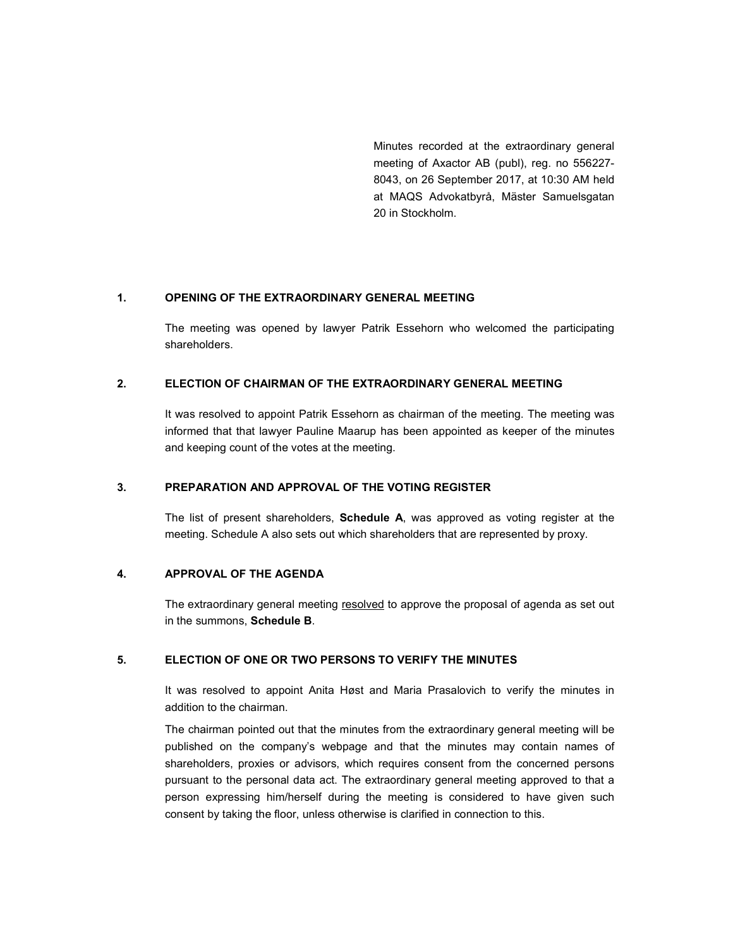Minutes recorded at the extraordinary general meeting of Axactor AB (publ), reg. no 556227- 8043, on 26 September 2017, at 10:30 AM held at MAQS Advokatbyrå, Mäster Samuelsgatan 20 in Stockholm.

### 1. OPENING OF THE EXTRAORDINARY GENERAL MEETING

The meeting was opened by lawyer Patrik Essehorn who welcomed the participating shareholders.

### 2. ELECTION OF CHAIRMAN OF THE EXTRAORDINARY GENERAL MEETING

It was resolved to appoint Patrik Essehorn as chairman of the meeting. The meeting was informed that that lawyer Pauline Maarup has been appointed as keeper of the minutes and keeping count of the votes at the meeting.

### 3. PREPARATION AND APPROVAL OF THE VOTING REGISTER

The list of present shareholders, Schedule A, was approved as voting register at the meeting. Schedule A also sets out which shareholders that are represented by proxy.

# 4. APPROVAL OF THE AGENDA

The extraordinary general meeting resolved to approve the proposal of agenda as set out in the summons, Schedule B.

#### 5. ELECTION OF ONE OR TWO PERSONS TO VERIFY THE MINUTES

It was resolved to appoint Anita Høst and Maria Prasalovich to verify the minutes in addition to the chairman.

The chairman pointed out that the minutes from the extraordinary general meeting will be published on the company's webpage and that the minutes may contain names of shareholders, proxies or advisors, which requires consent from the concerned persons pursuant to the personal data act. The extraordinary general meeting approved to that a person expressing him/herself during the meeting is considered to have given such consent by taking the floor, unless otherwise is clarified in connection to this.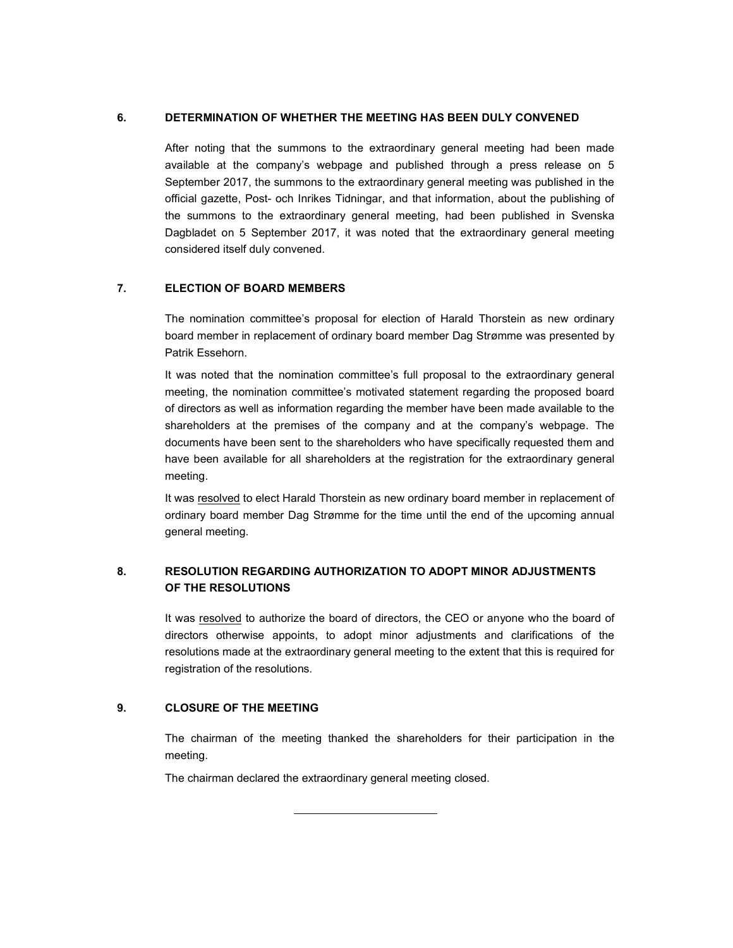### 6. DETERMINATION OF WHETHER THE MEETING HAS BEEN DULY CONVENED

After noting that the summons to the extraordinary general meeting had been made available at the company's webpage and published through a press release on 5 September 2017, the summons to the extraordinary general meeting was published in the official gazette, Post- och Inrikes Tidningar, and that information, about the publishing of the summons to the extraordinary general meeting, had been published in Svenska Dagbladet on 5 September 2017, it was noted that the extraordinary general meeting considered itself duly convened.

### 7. ELECTION OF BOARD MEMBERS

The nomination committee's proposal for election of Harald Thorstein as new ordinary board member in replacement of ordinary board member Dag Strømme was presented by Patrik Essehorn.

It was noted that the nomination committee's full proposal to the extraordinary general meeting, the nomination committee's motivated statement regarding the proposed board of directors as well as information regarding the member have been made available to the shareholders at the premises of the company and at the company's webpage. The documents have been sent to the shareholders who have specifically requested them and have been available for all shareholders at the registration for the extraordinary general meeting.

It was resolved to elect Harald Thorstein as new ordinary board member in replacement of ordinary board member Dag Strømme for the time until the end of the upcoming annual general meeting.

### 8. RESOLUTION REGARDING AUTHORIZATION TO ADOPT MINOR ADJUSTMENTS OF THE RESOLUTIONS

It was resolved to authorize the board of directors, the CEO or anyone who the board of directors otherwise appoints, to adopt minor adjustments and clarifications of the resolutions made at the extraordinary general meeting to the extent that this is required for registration of the resolutions.

### 9. CLOSURE OF THE MEETING

The chairman of the meeting thanked the shareholders for their participation in the meeting.

The chairman declared the extraordinary general meeting closed.

ı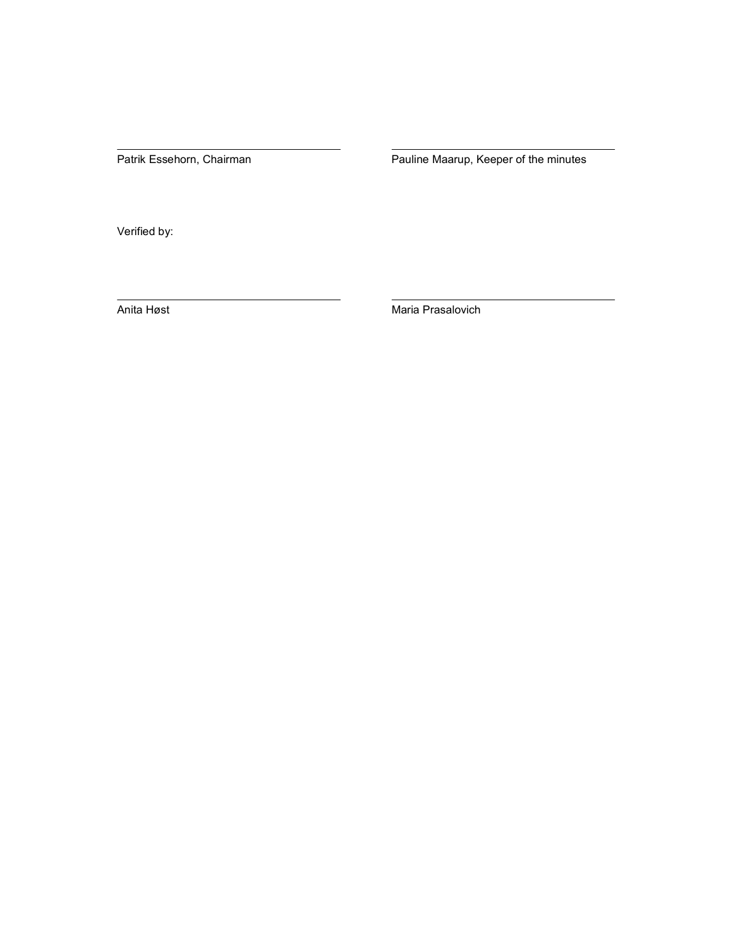Patrik Essehorn, Chairman Pauline Maarup, Keeper of the minutes

Verified by:

Anita Høst Maria Prasalovich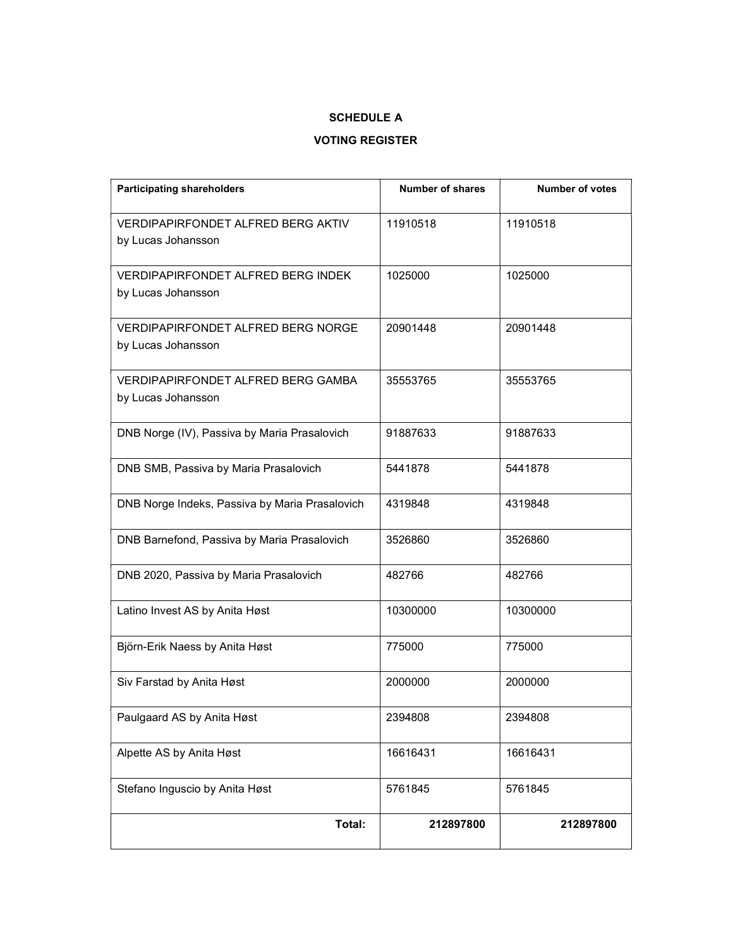### SCHEDULE A

# VOTING REGISTER

| <b>Participating shareholders</b>                               | <b>Number of shares</b> | <b>Number of votes</b> |
|-----------------------------------------------------------------|-------------------------|------------------------|
| <b>VERDIPAPIRFONDET ALFRED BERG AKTIV</b><br>by Lucas Johansson | 11910518                | 11910518               |
| VERDIPAPIRFONDET ALFRED BERG INDEK<br>by Lucas Johansson        | 1025000                 | 1025000                |
| <b>VERDIPAPIRFONDET ALFRED BERG NORGE</b><br>by Lucas Johansson | 20901448                | 20901448               |
| <b>VERDIPAPIRFONDET ALFRED BERG GAMBA</b><br>by Lucas Johansson | 35553765                | 35553765               |
| DNB Norge (IV), Passiva by Maria Prasalovich                    | 91887633                | 91887633               |
| DNB SMB, Passiva by Maria Prasalovich                           | 5441878                 | 5441878                |
| DNB Norge Indeks, Passiva by Maria Prasalovich                  | 4319848                 | 4319848                |
| DNB Barnefond, Passiva by Maria Prasalovich                     | 3526860                 | 3526860                |
| DNB 2020, Passiva by Maria Prasalovich                          | 482766                  | 482766                 |
| Latino Invest AS by Anita Høst                                  | 10300000                | 10300000               |
| Björn-Erik Naess by Anita Høst                                  | 775000                  | 775000                 |
| Siv Farstad by Anita Høst                                       | 2000000                 | 2000000                |
| Paulgaard AS by Anita Høst                                      | 2394808                 | 2394808                |
| Alpette AS by Anita Høst                                        | 16616431                | 16616431               |
| Stefano Inguscio by Anita Høst                                  | 5761845                 | 5761845                |
| Total:                                                          | 212897800               | 212897800              |